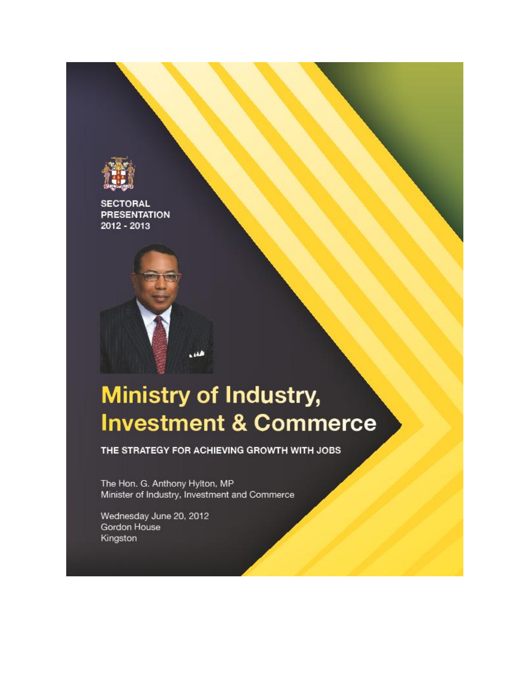

**SECTORAL PRESENTATION** 2012 - 2013



# **Ministry of Industry, Investment & Commerce**

THE STRATEGY FOR ACHIEVING GROWTH WITH JOBS

The Hon. G. Anthony Hylton, MP Minister of Industry, Investment and Commerce

Wednesday June 20, 2012 Gordon House Kingston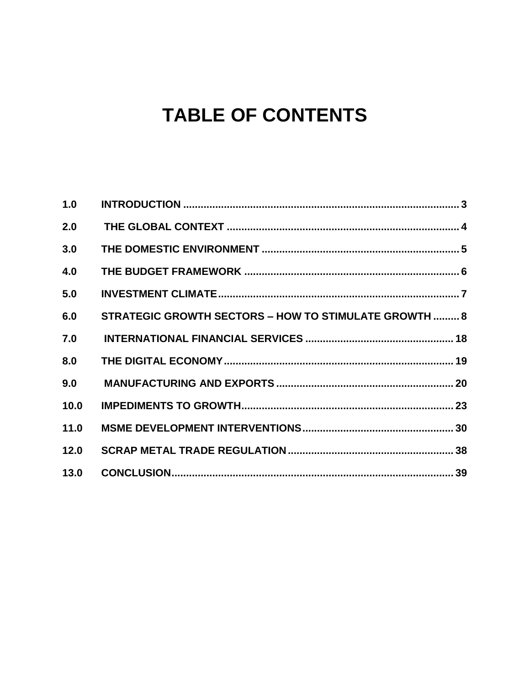# **TABLE OF CONTENTS**

| 1.0  |                                                       |  |
|------|-------------------------------------------------------|--|
| 2.0  |                                                       |  |
| 3.0  |                                                       |  |
| 4.0  |                                                       |  |
| 5.0  |                                                       |  |
| 6.0  | STRATEGIC GROWTH SECTORS - HOW TO STIMULATE GROWTH  8 |  |
| 7.0  |                                                       |  |
| 8.0  |                                                       |  |
| 9.0  |                                                       |  |
| 10.0 |                                                       |  |
| 11.0 |                                                       |  |
| 12.0 |                                                       |  |
| 13.0 |                                                       |  |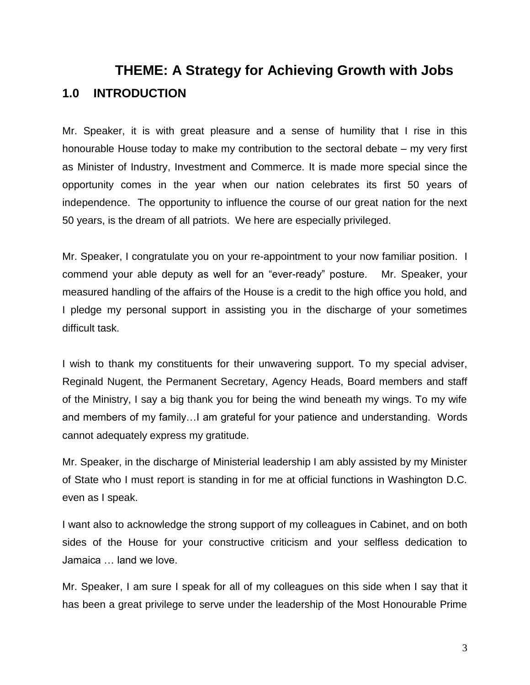## <span id="page-2-0"></span>**THEME: A Strategy for Achieving Growth with Jobs 1.0 INTRODUCTION**

Mr. Speaker, it is with great pleasure and a sense of humility that I rise in this honourable House today to make my contribution to the sectoral debate – my very first as Minister of Industry, Investment and Commerce. It is made more special since the opportunity comes in the year when our nation celebrates its first 50 years of independence. The opportunity to influence the course of our great nation for the next 50 years, is the dream of all patriots. We here are especially privileged.

Mr. Speaker, I congratulate you on your re-appointment to your now familiar position. I commend your able deputy as well for an "ever-ready" posture. Mr. Speaker, your measured handling of the affairs of the House is a credit to the high office you hold, and I pledge my personal support in assisting you in the discharge of your sometimes difficult task.

I wish to thank my constituents for their unwavering support. To my special adviser, Reginald Nugent, the Permanent Secretary, Agency Heads, Board members and staff of the Ministry, I say a big thank you for being the wind beneath my wings. To my wife and members of my family…I am grateful for your patience and understanding. Words cannot adequately express my gratitude.

Mr. Speaker, in the discharge of Ministerial leadership I am ably assisted by my Minister of State who I must report is standing in for me at official functions in Washington D.C. even as I speak.

I want also to acknowledge the strong support of my colleagues in Cabinet, and on both sides of the House for your constructive criticism and your selfless dedication to Jamaica … land we love.

Mr. Speaker, I am sure I speak for all of my colleagues on this side when I say that it has been a great privilege to serve under the leadership of the Most Honourable Prime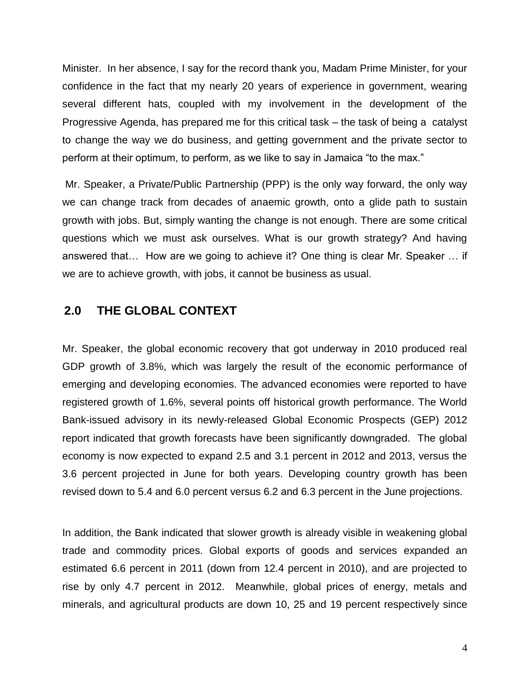Minister. In her absence, I say for the record thank you, Madam Prime Minister, for your confidence in the fact that my nearly 20 years of experience in government, wearing several different hats, coupled with my involvement in the development of the Progressive Agenda, has prepared me for this critical task – the task of being a catalyst to change the way we do business, and getting government and the private sector to perform at their optimum, to perform, as we like to say in Jamaica "to the max."

Mr. Speaker, a Private/Public Partnership (PPP) is the only way forward, the only way we can change track from decades of anaemic growth, onto a glide path to sustain growth with jobs. But, simply wanting the change is not enough. There are some critical questions which we must ask ourselves. What is our growth strategy? And having answered that… How are we going to achieve it? One thing is clear Mr. Speaker … if we are to achieve growth, with jobs, it cannot be business as usual.

## <span id="page-3-0"></span>**2.0 THE GLOBAL CONTEXT**

Mr. Speaker, the global economic recovery that got underway in 2010 produced real GDP growth of 3.8%, which was largely the result of the economic performance of emerging and developing economies. The advanced economies were reported to have registered growth of 1.6%, several points off historical growth performance. The World Bank-issued advisory in its newly-released Global Economic Prospects (GEP) 2012 report indicated that growth forecasts have been significantly downgraded. The global economy is now expected to expand 2.5 and 3.1 percent in 2012 and 2013, versus the 3.6 percent projected in June for both years. Developing country growth has been revised down to 5.4 and 6.0 percent versus 6.2 and 6.3 percent in the June projections.

In addition, the Bank indicated that slower growth is already visible in weakening global trade and commodity prices. Global exports of goods and services expanded an estimated 6.6 percent in 2011 (down from 12.4 percent in 2010), and are projected to rise by only 4.7 percent in 2012. Meanwhile, global prices of energy, metals and minerals, and agricultural products are down 10, 25 and 19 percent respectively since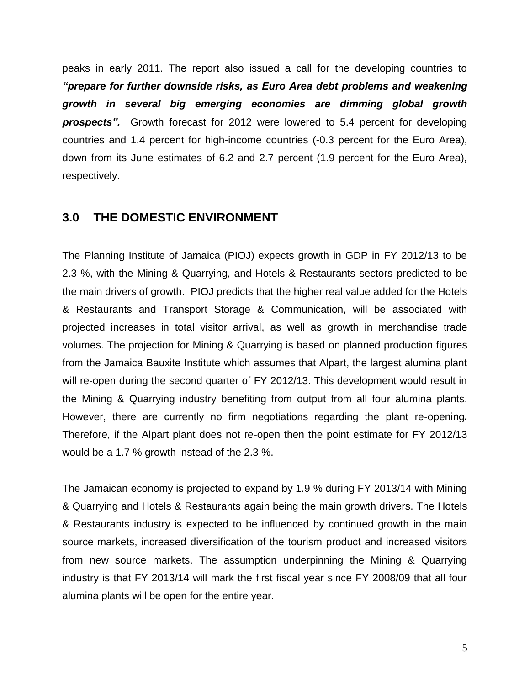peaks in early 2011. The report also issued a call for the developing countries to *"prepare for further downside risks, as Euro Area debt problems and weakening growth in several big emerging economies are dimming global growth prospects".* Growth forecast for 2012 were lowered to 5.4 percent for developing countries and 1.4 percent for high-income countries (-0.3 percent for the Euro Area), down from its June estimates of 6.2 and 2.7 percent (1.9 percent for the Euro Area), respectively.

#### <span id="page-4-0"></span>**3.0 THE DOMESTIC ENVIRONMENT**

The Planning Institute of Jamaica (PIOJ) expects growth in GDP in FY 2012/13 to be 2.3 %, with the Mining & Quarrying, and Hotels & Restaurants sectors predicted to be the main drivers of growth. PIOJ predicts that the higher real value added for the Hotels & Restaurants and Transport Storage & Communication, will be associated with projected increases in total visitor arrival, as well as growth in merchandise trade volumes. The projection for Mining & Quarrying is based on planned production figures from the Jamaica Bauxite Institute which assumes that Alpart, the largest alumina plant will re-open during the second quarter of FY 2012/13. This development would result in the Mining & Quarrying industry benefiting from output from all four alumina plants. However, there are currently no firm negotiations regarding the plant re-opening*.*  Therefore, if the Alpart plant does not re-open then the point estimate for FY 2012/13 would be a 1.7 % growth instead of the 2.3 %.

The Jamaican economy is projected to expand by 1.9 % during FY 2013/14 with Mining & Quarrying and Hotels & Restaurants again being the main growth drivers. The Hotels & Restaurants industry is expected to be influenced by continued growth in the main source markets, increased diversification of the tourism product and increased visitors from new source markets. The assumption underpinning the Mining & Quarrying industry is that FY 2013/14 will mark the first fiscal year since FY 2008/09 that all four alumina plants will be open for the entire year.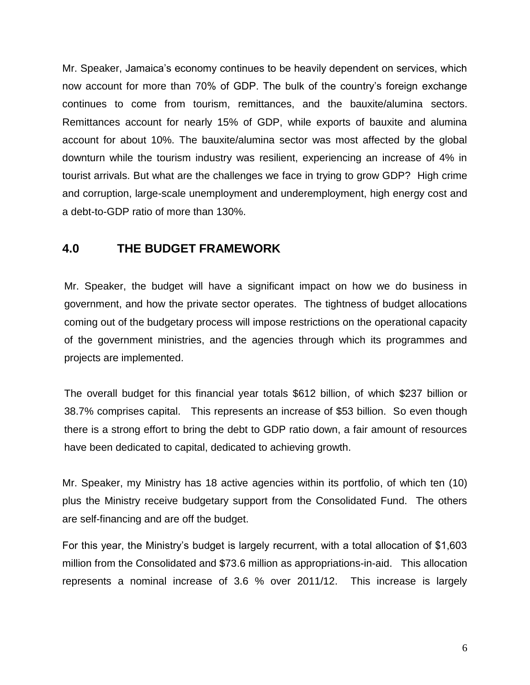Mr. Speaker, Jamaica's economy continues to be heavily dependent on services, which now account for more than 70% of GDP. The bulk of the country's foreign exchange continues to come from tourism, remittances, and the bauxite/alumina sectors. Remittances account for nearly 15% of GDP, while exports of bauxite and alumina account for about 10%. The bauxite/alumina sector was most affected by the global downturn while the tourism industry was resilient, experiencing an increase of 4% in tourist arrivals. But what are the challenges we face in trying to grow GDP? High crime and corruption, large-scale unemployment and underemployment, high energy cost and a debt-to-GDP ratio of more than 130%.

## <span id="page-5-0"></span>**4.0 THE BUDGET FRAMEWORK**

Mr. Speaker, the budget will have a significant impact on how we do business in government, and how the private sector operates. The tightness of budget allocations coming out of the budgetary process will impose restrictions on the operational capacity of the government ministries, and the agencies through which its programmes and projects are implemented.

The overall budget for this financial year totals \$612 billion, of which \$237 billion or 38.7% comprises capital. This represents an increase of \$53 billion. So even though there is a strong effort to bring the debt to GDP ratio down, a fair amount of resources have been dedicated to capital, dedicated to achieving growth.

Mr. Speaker, my Ministry has 18 active agencies within its portfolio, of which ten (10) plus the Ministry receive budgetary support from the Consolidated Fund. The others are self-financing and are off the budget.

For this year, the Ministry's budget is largely recurrent, with a total allocation of \$1,603 million from the Consolidated and \$73.6 million as appropriations-in-aid. This allocation represents a nominal increase of 3.6 % over 2011/12. This increase is largely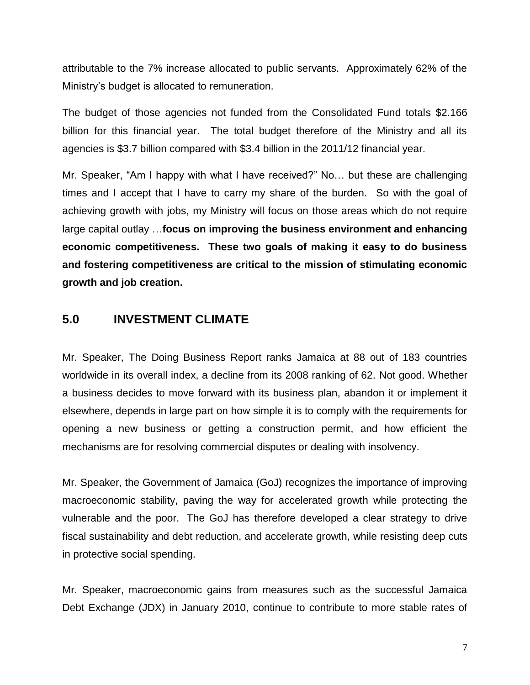attributable to the 7% increase allocated to public servants. Approximately 62% of the Ministry's budget is allocated to remuneration.

The budget of those agencies not funded from the Consolidated Fund totals \$2.166 billion for this financial year. The total budget therefore of the Ministry and all its agencies is \$3.7 billion compared with \$3.4 billion in the 2011/12 financial year.

Mr. Speaker, "Am I happy with what I have received?" No… but these are challenging times and I accept that I have to carry my share of the burden. So with the goal of achieving growth with jobs, my Ministry will focus on those areas which do not require large capital outlay …**focus on improving the business environment and enhancing economic competitiveness. These two goals of making it easy to do business and fostering competitiveness are critical to the mission of stimulating economic growth and job creation.** 

## <span id="page-6-0"></span>**5.0 INVESTMENT CLIMATE**

Mr. Speaker, The Doing Business Report ranks Jamaica at 88 out of 183 countries worldwide in its overall index, a decline from its 2008 ranking of 62. Not good. Whether a business decides to move forward with its business plan, abandon it or implement it elsewhere, depends in large part on how simple it is to comply with the requirements for opening a new business or getting a construction permit, and how efficient the mechanisms are for resolving commercial disputes or dealing with insolvency.

Mr. Speaker, the Government of Jamaica (GoJ) recognizes the importance of improving macroeconomic stability, paving the way for accelerated growth while protecting the vulnerable and the poor. The GoJ has therefore developed a clear strategy to drive fiscal sustainability and debt reduction, and accelerate growth, while resisting deep cuts in protective social spending.

Mr. Speaker, macroeconomic gains from measures such as the successful Jamaica Debt Exchange (JDX) in January 2010, continue to contribute to more stable rates of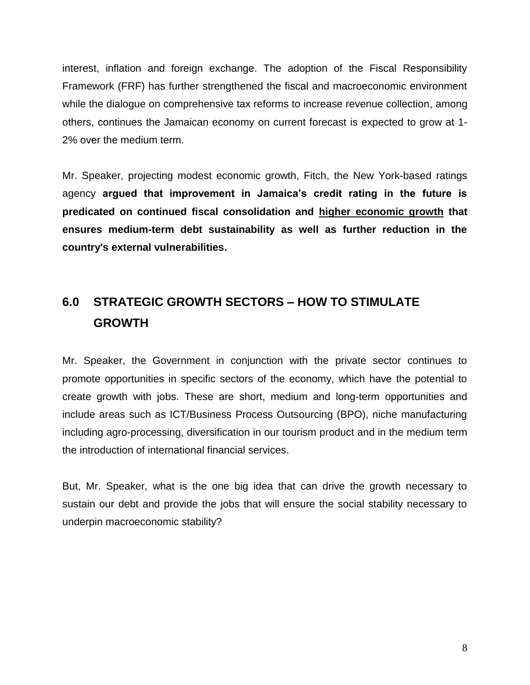interest, inflation and foreign exchange. The adoption of the Fiscal Responsibility Framework (FRF) has further strengthened the fiscal and macroeconomic environment while the dialogue on comprehensive tax reforms to increase revenue collection, among others, continues the Jamaican economy on current forecast is expected to grow at 1- 2% over the medium term.

Mr. Speaker, projecting modest economic growth, Fitch, the New York-based ratings agency **argued that improvement in Jamaica's credit rating in the future is predicated on continued fiscal consolidation and higher economic growth that ensures medium-term debt sustainability as well as further reduction in the country's external vulnerabilities.**

## <span id="page-7-0"></span>**6.0 STRATEGIC GROWTH SECTORS – HOW TO STIMULATE GROWTH**

Mr. Speaker, the Government in conjunction with the private sector continues to promote opportunities in specific sectors of the economy, which have the potential to create growth with jobs. These are short, medium and long-term opportunities and include areas such as ICT/Business Process Outsourcing (BPO), niche manufacturing including agro-processing, diversification in our tourism product and in the medium term the introduction of international financial services.

But, Mr. Speaker, what is the one big idea that can drive the growth necessary to sustain our debt and provide the jobs that will ensure the social stability necessary to underpin macroeconomic stability?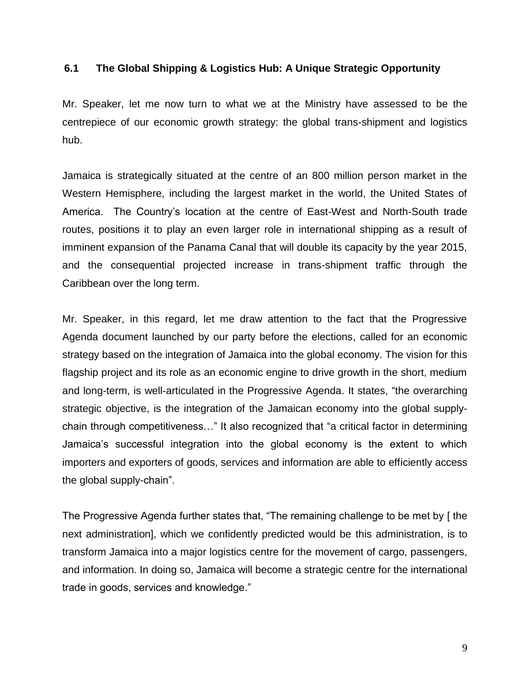#### **6.1 The Global Shipping & Logistics Hub: A Unique Strategic Opportunity**

Mr. Speaker, let me now turn to what we at the Ministry have assessed to be the centrepiece of our economic growth strategy: the global trans-shipment and logistics hub.

Jamaica is strategically situated at the centre of an 800 million person market in the Western Hemisphere, including the largest market in the world, the United States of America. The Country's location at the centre of East-West and North-South trade routes, positions it to play an even larger role in international shipping as a result of imminent expansion of the Panama Canal that will double its capacity by the year 2015, and the consequential projected increase in trans-shipment traffic through the Caribbean over the long term.

Mr. Speaker, in this regard, let me draw attention to the fact that the Progressive Agenda document launched by our party before the elections, called for an economic strategy based on the integration of Jamaica into the global economy. The vision for this flagship project and its role as an economic engine to drive growth in the short, medium and long-term, is well-articulated in the Progressive Agenda. It states, "the overarching strategic objective, is the integration of the Jamaican economy into the global supplychain through competitiveness…" It also recognized that "a critical factor in determining Jamaica's successful integration into the global economy is the extent to which importers and exporters of goods, services and information are able to efficiently access the global supply-chain".

The Progressive Agenda further states that, "The remaining challenge to be met by [ the next administration], which we confidently predicted would be this administration, is to transform Jamaica into a major logistics centre for the movement of cargo, passengers, and information. In doing so, Jamaica will become a strategic centre for the international trade in goods, services and knowledge."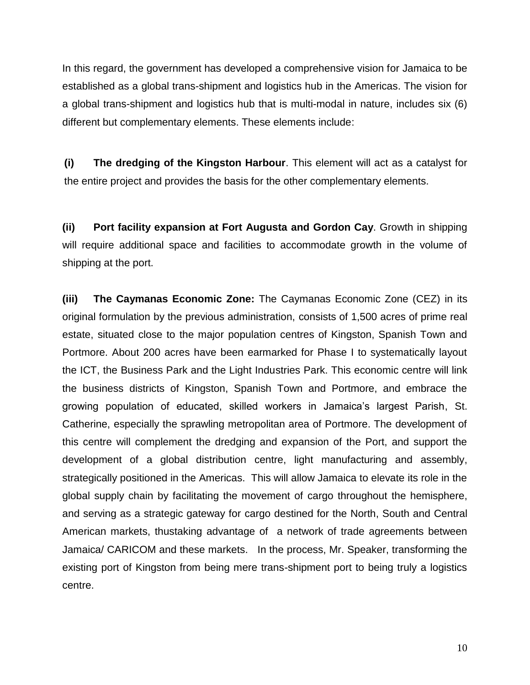In this regard, the government has developed a comprehensive vision for Jamaica to be established as a global trans-shipment and logistics hub in the Americas. The vision for a global trans-shipment and logistics hub that is multi-modal in nature, includes six (6) different but complementary elements. These elements include:

**(i) The dredging of the Kingston Harbour**. This element will act as a catalyst for the entire project and provides the basis for the other complementary elements.

**(ii) Port facility expansion at Fort Augusta and Gordon Cay**. Growth in shipping will require additional space and facilities to accommodate growth in the volume of shipping at the port.

**(iii) The Caymanas Economic Zone:** The Caymanas Economic Zone (CEZ) in its original formulation by the previous administration, consists of 1,500 acres of prime real estate, situated close to the major population centres of Kingston, Spanish Town and Portmore. About 200 acres have been earmarked for Phase I to systematically layout the ICT, the Business Park and the Light Industries Park. This economic centre will link the business districts of Kingston, Spanish Town and Portmore, and embrace the growing population of educated, skilled workers in Jamaica's largest Parish, St. Catherine, especially the sprawling metropolitan area of Portmore. The development of this centre will complement the dredging and expansion of the Port, and support the development of a global distribution centre, light manufacturing and assembly, strategically positioned in the Americas. This will allow Jamaica to elevate its role in the global supply chain by facilitating the movement of cargo throughout the hemisphere, and serving as a strategic gateway for cargo destined for the North, South and Central American markets, thustaking advantage of a network of trade agreements between Jamaica/ CARICOM and these markets. In the process, Mr. Speaker, transforming the existing port of Kingston from being mere trans-shipment port to being truly a logistics centre.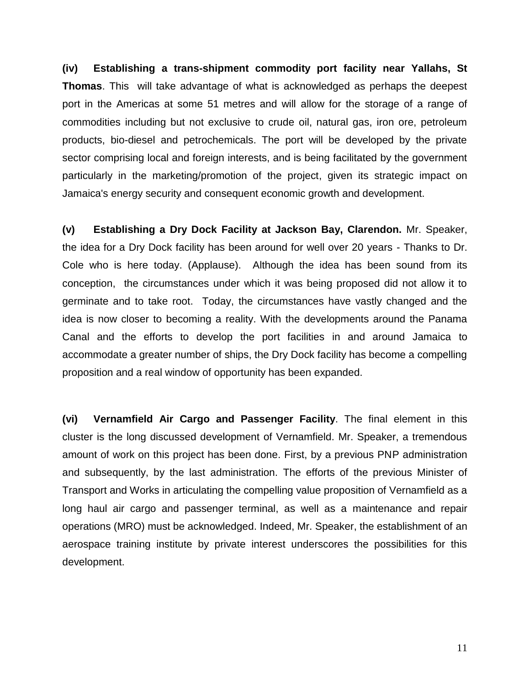**(iv) Establishing a trans-shipment commodity port facility near Yallahs, St Thomas**. This will take advantage of what is acknowledged as perhaps the deepest port in the Americas at some 51 metres and will allow for the storage of a range of commodities including but not exclusive to crude oil, natural gas, iron ore, petroleum products, bio-diesel and petrochemicals. The port will be developed by the private sector comprising local and foreign interests, and is being facilitated by the government particularly in the marketing/promotion of the project, given its strategic impact on Jamaica's energy security and consequent economic growth and development.

**(v) Establishing a Dry Dock Facility at Jackson Bay, Clarendon.** Mr. Speaker, the idea for a Dry Dock facility has been around for well over 20 years - Thanks to Dr. Cole who is here today. (Applause). Although the idea has been sound from its conception, the circumstances under which it was being proposed did not allow it to germinate and to take root. Today, the circumstances have vastly changed and the idea is now closer to becoming a reality. With the developments around the Panama Canal and the efforts to develop the port facilities in and around Jamaica to accommodate a greater number of ships, the Dry Dock facility has become a compelling proposition and a real window of opportunity has been expanded.

**(vi) Vernamfield Air Cargo and Passenger Facility**. The final element in this cluster is the long discussed development of Vernamfield. Mr. Speaker, a tremendous amount of work on this project has been done. First, by a previous PNP administration and subsequently, by the last administration. The efforts of the previous Minister of Transport and Works in articulating the compelling value proposition of Vernamfield as a long haul air cargo and passenger terminal, as well as a maintenance and repair operations (MRO) must be acknowledged. Indeed, Mr. Speaker, the establishment of an aerospace training institute by private interest underscores the possibilities for this development.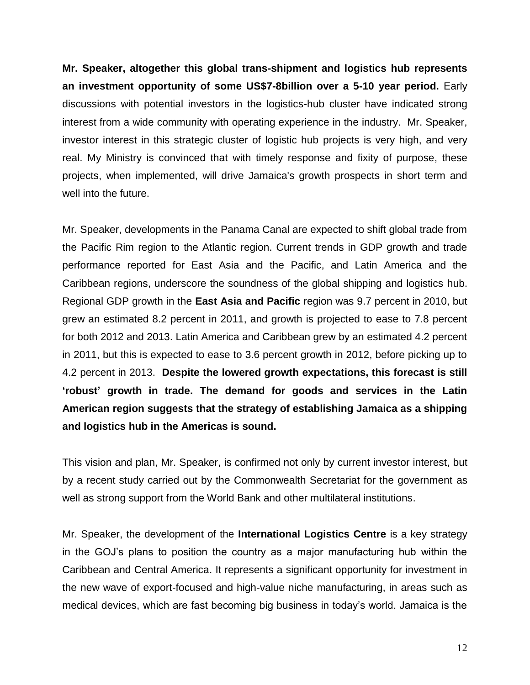**Mr. Speaker, altogether this global trans-shipment and logistics hub represents an investment opportunity of some US\$7-8billion over a 5-10 year period.** Early discussions with potential investors in the logistics-hub cluster have indicated strong interest from a wide community with operating experience in the industry. Mr. Speaker, investor interest in this strategic cluster of logistic hub projects is very high, and very real. My Ministry is convinced that with timely response and fixity of purpose, these projects, when implemented, will drive Jamaica's growth prospects in short term and well into the future.

Mr. Speaker, developments in the Panama Canal are expected to shift global trade from the Pacific Rim region to the Atlantic region. Current trends in GDP growth and trade performance reported for East Asia and the Pacific, and Latin America and the Caribbean regions, underscore the soundness of the global shipping and logistics hub. Regional GDP growth in the **East Asia and Pacific** region was 9.7 percent in 2010, but grew an estimated 8.2 percent in 2011, and growth is projected to ease to 7.8 percent for both 2012 and 2013. Latin America and Caribbean grew by an estimated 4.2 percent in 2011, but this is expected to ease to 3.6 percent growth in 2012, before picking up to 4.2 percent in 2013. **Despite the lowered growth expectations, this forecast is still 'robust' growth in trade. The demand for goods and services in the Latin American region suggests that the strategy of establishing Jamaica as a shipping and logistics hub in the Americas is sound.** 

This vision and plan, Mr. Speaker, is confirmed not only by current investor interest, but by a recent study carried out by the Commonwealth Secretariat for the government as well as strong support from the World Bank and other multilateral institutions.

Mr. Speaker, the development of the **International Logistics Centre** is a key strategy in the GOJ's plans to position the country as a major manufacturing hub within the Caribbean and Central America. It represents a significant opportunity for investment in the new wave of export-focused and high-value niche manufacturing, in areas such as medical devices, which are fast becoming big business in today's world. Jamaica is the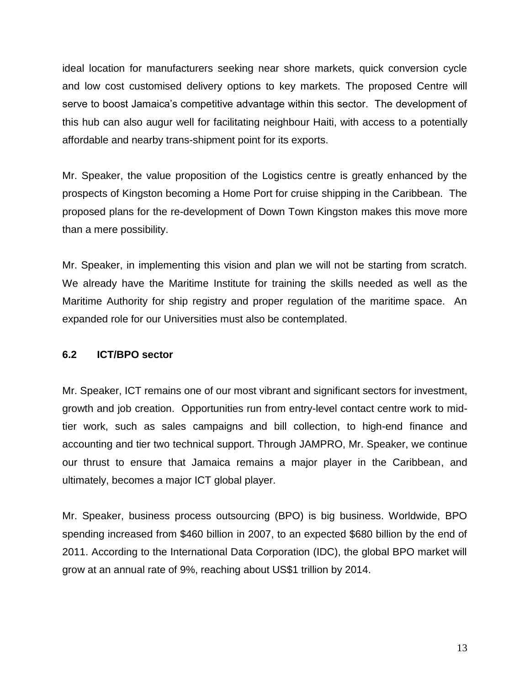ideal location for manufacturers seeking near shore markets, quick conversion cycle and low cost customised delivery options to key markets. The proposed Centre will serve to boost Jamaica's competitive advantage within this sector. The development of this hub can also augur well for facilitating neighbour Haiti, with access to a potentially affordable and nearby trans-shipment point for its exports.

Mr. Speaker, the value proposition of the Logistics centre is greatly enhanced by the prospects of Kingston becoming a Home Port for cruise shipping in the Caribbean. The proposed plans for the re-development of Down Town Kingston makes this move more than a mere possibility.

Mr. Speaker, in implementing this vision and plan we will not be starting from scratch. We already have the Maritime Institute for training the skills needed as well as the Maritime Authority for ship registry and proper regulation of the maritime space. An expanded role for our Universities must also be contemplated.

#### **6.2 ICT/BPO sector**

Mr. Speaker, ICT remains one of our most vibrant and significant sectors for investment, growth and job creation. Opportunities run from entry-level contact centre work to midtier work, such as sales campaigns and bill collection, to high-end finance and accounting and tier two technical support. Through JAMPRO, Mr. Speaker, we continue our thrust to ensure that Jamaica remains a major player in the Caribbean, and ultimately, becomes a major ICT global player.

Mr. Speaker, business process outsourcing (BPO) is big business. Worldwide, BPO spending increased from \$460 billion in 2007, to an expected \$680 billion by the end of 2011. According to the International Data Corporation (IDC), the global BPO market will grow at an annual rate of 9%, reaching about US\$1 trillion by 2014.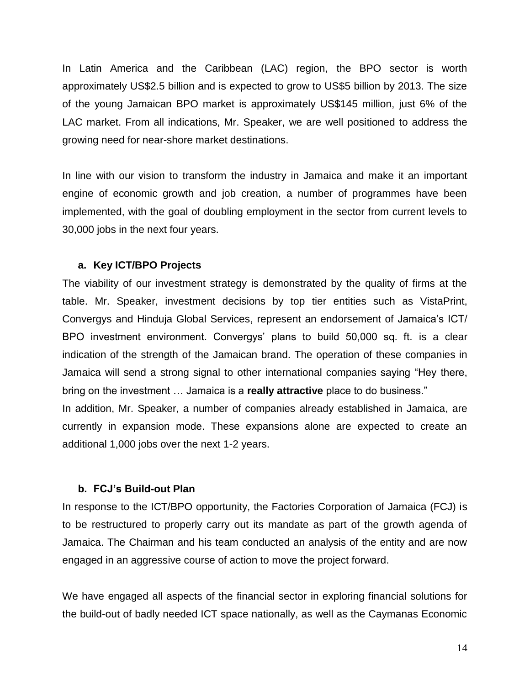In Latin America and the Caribbean (LAC) region, the BPO sector is worth approximately US\$2.5 billion and is expected to grow to US\$5 billion by 2013. The size of the young Jamaican BPO market is approximately US\$145 million, just 6% of the LAC market. From all indications, Mr. Speaker, we are well positioned to address the growing need for near-shore market destinations.

In line with our vision to transform the industry in Jamaica and make it an important engine of economic growth and job creation, a number of programmes have been implemented, with the goal of doubling employment in the sector from current levels to 30,000 jobs in the next four years.

#### **a. Key ICT/BPO Projects**

The viability of our investment strategy is demonstrated by the quality of firms at the table. Mr. Speaker, investment decisions by top tier entities such as VistaPrint, Convergys and Hinduja Global Services, represent an endorsement of Jamaica's ICT/ BPO investment environment. Convergys' plans to build 50,000 sq. ft. is a clear indication of the strength of the Jamaican brand. The operation of these companies in Jamaica will send a strong signal to other international companies saying "Hey there, bring on the investment … Jamaica is a **really attractive** place to do business." In addition, Mr. Speaker, a number of companies already established in Jamaica, are

currently in expansion mode. These expansions alone are expected to create an additional 1,000 jobs over the next 1-2 years.

#### **b. FCJ's Build-out Plan**

In response to the ICT/BPO opportunity, the Factories Corporation of Jamaica (FCJ) is to be restructured to properly carry out its mandate as part of the growth agenda of Jamaica. The Chairman and his team conducted an analysis of the entity and are now engaged in an aggressive course of action to move the project forward.

We have engaged all aspects of the financial sector in exploring financial solutions for the build-out of badly needed ICT space nationally, as well as the Caymanas Economic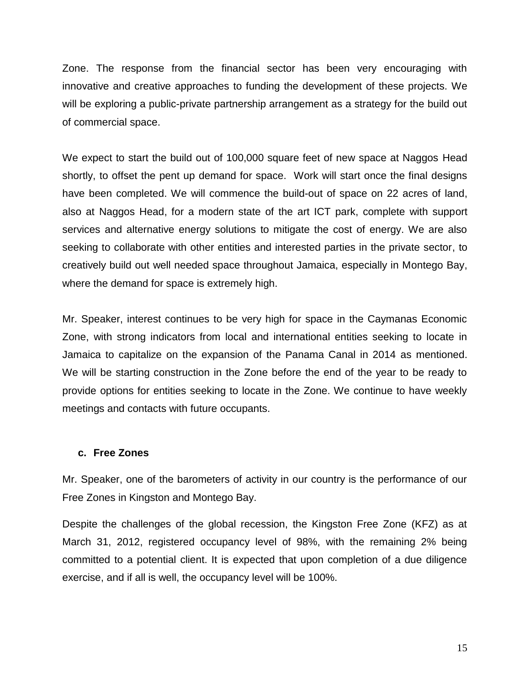Zone. The response from the financial sector has been very encouraging with innovative and creative approaches to funding the development of these projects. We will be exploring a public-private partnership arrangement as a strategy for the build out of commercial space.

We expect to start the build out of 100,000 square feet of new space at Naggos Head shortly, to offset the pent up demand for space. Work will start once the final designs have been completed. We will commence the build-out of space on 22 acres of land, also at Naggos Head, for a modern state of the art ICT park, complete with support services and alternative energy solutions to mitigate the cost of energy. We are also seeking to collaborate with other entities and interested parties in the private sector, to creatively build out well needed space throughout Jamaica, especially in Montego Bay, where the demand for space is extremely high.

Mr. Speaker, interest continues to be very high for space in the Caymanas Economic Zone, with strong indicators from local and international entities seeking to locate in Jamaica to capitalize on the expansion of the Panama Canal in 2014 as mentioned. We will be starting construction in the Zone before the end of the year to be ready to provide options for entities seeking to locate in the Zone. We continue to have weekly meetings and contacts with future occupants.

#### **c. Free Zones**

Mr. Speaker, one of the barometers of activity in our country is the performance of our Free Zones in Kingston and Montego Bay.

Despite the challenges of the global recession, the Kingston Free Zone (KFZ) as at March 31, 2012, registered occupancy level of 98%, with the remaining 2% being committed to a potential client. It is expected that upon completion of a due diligence exercise, and if all is well, the occupancy level will be 100%.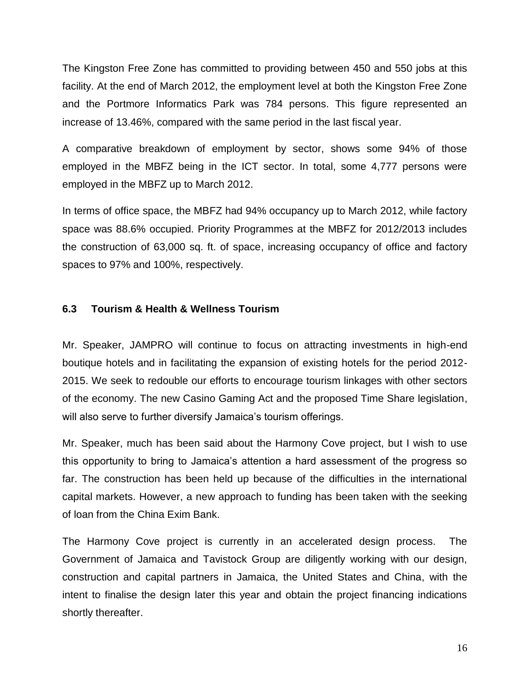The Kingston Free Zone has committed to providing between 450 and 550 jobs at this facility. At the end of March 2012, the employment level at both the Kingston Free Zone and the Portmore Informatics Park was 784 persons. This figure represented an increase of 13.46%, compared with the same period in the last fiscal year.

A comparative breakdown of employment by sector, shows some 94% of those employed in the MBFZ being in the ICT sector. In total, some 4,777 persons were employed in the MBFZ up to March 2012.

In terms of office space, the MBFZ had 94% occupancy up to March 2012, while factory space was 88.6% occupied. Priority Programmes at the MBFZ for 2012/2013 includes the construction of 63,000 sq. ft. of space, increasing occupancy of office and factory spaces to 97% and 100%, respectively.

#### **6.3 Tourism & Health & Wellness Tourism**

Mr. Speaker, JAMPRO will continue to focus on attracting investments in high-end boutique hotels and in facilitating the expansion of existing hotels for the period 2012- 2015. We seek to redouble our efforts to encourage tourism linkages with other sectors of the economy. The new Casino Gaming Act and the proposed Time Share legislation, will also serve to further diversify Jamaica's tourism offerings.

Mr. Speaker, much has been said about the Harmony Cove project, but I wish to use this opportunity to bring to Jamaica's attention a hard assessment of the progress so far. The construction has been held up because of the difficulties in the international capital markets. However, a new approach to funding has been taken with the seeking of loan from the China Exim Bank.

The Harmony Cove project is currently in an accelerated design process. The Government of Jamaica and Tavistock Group are diligently working with our design, construction and capital partners in Jamaica, the United States and China, with the intent to finalise the design later this year and obtain the project financing indications shortly thereafter.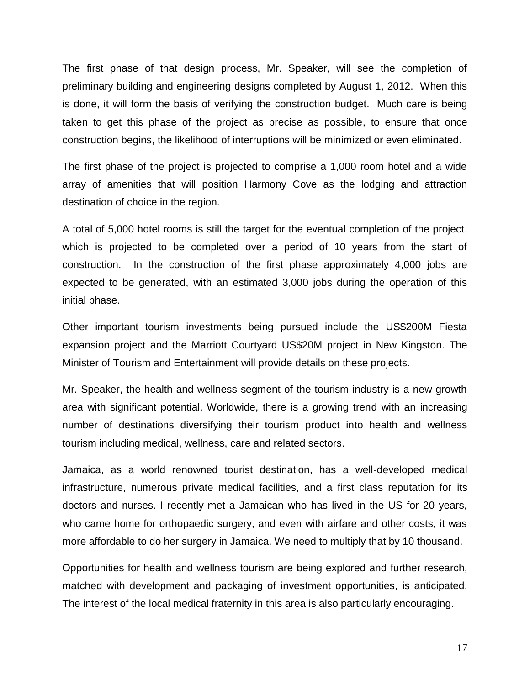The first phase of that design process, Mr. Speaker, will see the completion of preliminary building and engineering designs completed by August 1, 2012. When this is done, it will form the basis of verifying the construction budget. Much care is being taken to get this phase of the project as precise as possible, to ensure that once construction begins, the likelihood of interruptions will be minimized or even eliminated.

The first phase of the project is projected to comprise a 1,000 room hotel and a wide array of amenities that will position Harmony Cove as the lodging and attraction destination of choice in the region.

A total of 5,000 hotel rooms is still the target for the eventual completion of the project, which is projected to be completed over a period of 10 years from the start of construction. In the construction of the first phase approximately 4,000 jobs are expected to be generated, with an estimated 3,000 jobs during the operation of this initial phase.

Other important tourism investments being pursued include the US\$200M Fiesta expansion project and the Marriott Courtyard US\$20M project in New Kingston. The Minister of Tourism and Entertainment will provide details on these projects.

Mr. Speaker, the health and wellness segment of the tourism industry is a new growth area with significant potential. Worldwide, there is a growing trend with an increasing number of destinations diversifying their tourism product into health and wellness tourism including medical, wellness, care and related sectors.

Jamaica, as a world renowned tourist destination, has a well-developed medical infrastructure, numerous private medical facilities, and a first class reputation for its doctors and nurses. I recently met a Jamaican who has lived in the US for 20 years, who came home for orthopaedic surgery, and even with airfare and other costs, it was more affordable to do her surgery in Jamaica. We need to multiply that by 10 thousand.

Opportunities for health and wellness tourism are being explored and further research, matched with development and packaging of investment opportunities, is anticipated. The interest of the local medical fraternity in this area is also particularly encouraging.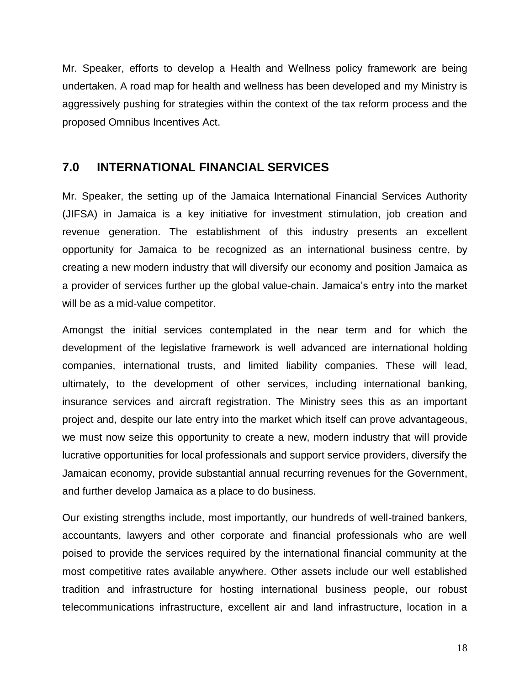Mr. Speaker, efforts to develop a Health and Wellness policy framework are being undertaken. A road map for health and wellness has been developed and my Ministry is aggressively pushing for strategies within the context of the tax reform process and the proposed Omnibus Incentives Act.

## <span id="page-17-0"></span>**7.0 INTERNATIONAL FINANCIAL SERVICES**

Mr. Speaker, the setting up of the Jamaica International Financial Services Authority (JIFSA) in Jamaica is a key initiative for investment stimulation, job creation and revenue generation. The establishment of this industry presents an excellent opportunity for Jamaica to be recognized as an international business centre, by creating a new modern industry that will diversify our economy and position Jamaica as a provider of services further up the global value-chain. Jamaica's entry into the market will be as a mid-value competitor.

Amongst the initial services contemplated in the near term and for which the development of the legislative framework is well advanced are international holding companies, international trusts, and limited liability companies. These will lead, ultimately, to the development of other services, including international banking, insurance services and aircraft registration. The Ministry sees this as an important project and, despite our late entry into the market which itself can prove advantageous, we must now seize this opportunity to create a new, modern industry that will provide lucrative opportunities for local professionals and support service providers, diversify the Jamaican economy, provide substantial annual recurring revenues for the Government, and further develop Jamaica as a place to do business.

Our existing strengths include, most importantly, our hundreds of well-trained bankers, accountants, lawyers and other corporate and financial professionals who are well poised to provide the services required by the international financial community at the most competitive rates available anywhere. Other assets include our well established tradition and infrastructure for hosting international business people, our robust telecommunications infrastructure, excellent air and land infrastructure, location in a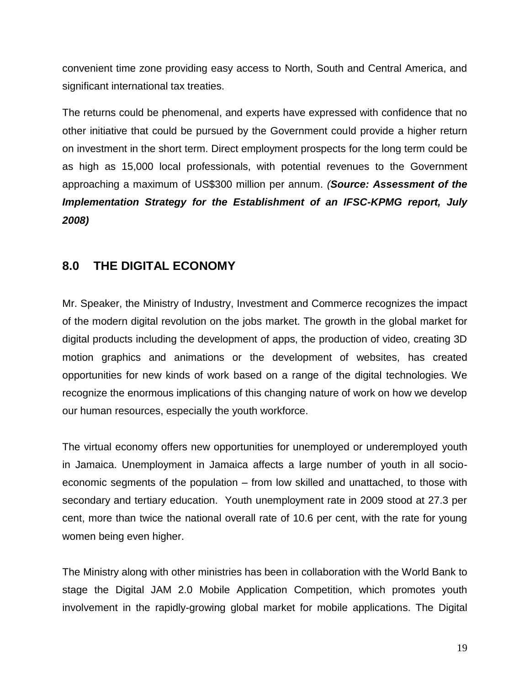convenient time zone providing easy access to North, South and Central America, and significant international tax treaties.

The returns could be phenomenal, and experts have expressed with confidence that no other initiative that could be pursued by the Government could provide a higher return on investment in the short term. Direct employment prospects for the long term could be as high as 15,000 local professionals, with potential revenues to the Government approaching a maximum of US\$300 million per annum. *(Source: Assessment of the Implementation Strategy for the Establishment of an IFSC-KPMG report, July 2008)*

## <span id="page-18-0"></span>**8.0 THE DIGITAL ECONOMY**

Mr. Speaker, the Ministry of Industry, Investment and Commerce recognizes the impact of the modern digital revolution on the jobs market. The growth in the global market for digital products including the development of apps, the production of video, creating 3D motion graphics and animations or the development of websites, has created opportunities for new kinds of work based on a range of the digital technologies. We recognize the enormous implications of this changing nature of work on how we develop our human resources, especially the youth workforce.

The virtual economy offers new opportunities for unemployed or underemployed youth in Jamaica. Unemployment in Jamaica affects a large number of youth in all socioeconomic segments of the population – from low skilled and unattached, to those with secondary and tertiary education. Youth unemployment rate in 2009 stood at 27.3 per cent, more than twice the national overall rate of 10.6 per cent, with the rate for young women being even higher.

The Ministry along with other ministries has been in collaboration with the World Bank to stage the Digital JAM 2.0 Mobile Application Competition, which promotes youth involvement in the rapidly-growing global market for mobile applications. The Digital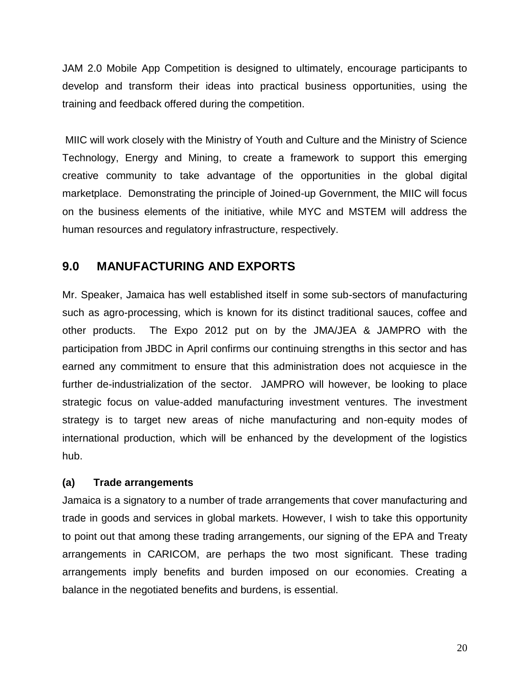JAM 2.0 Mobile App Competition is designed to ultimately, encourage participants to develop and transform their ideas into practical business opportunities, using the training and feedback offered during the competition.

MIIC will work closely with the Ministry of Youth and Culture and the Ministry of Science Technology, Energy and Mining, to create a framework to support this emerging creative community to take advantage of the opportunities in the global digital marketplace. Demonstrating the principle of Joined-up Government, the MIIC will focus on the business elements of the initiative, while MYC and MSTEM will address the human resources and regulatory infrastructure, respectively.

## <span id="page-19-0"></span>**9.0 MANUFACTURING AND EXPORTS**

Mr. Speaker, Jamaica has well established itself in some sub-sectors of manufacturing such as agro-processing, which is known for its distinct traditional sauces, coffee and other products. The Expo 2012 put on by the JMA/JEA & JAMPRO with the participation from JBDC in April confirms our continuing strengths in this sector and has earned any commitment to ensure that this administration does not acquiesce in the further de-industrialization of the sector. JAMPRO will however, be looking to place strategic focus on value-added manufacturing investment ventures. The investment strategy is to target new areas of niche manufacturing and non-equity modes of international production, which will be enhanced by the development of the logistics hub.

#### **(a) Trade arrangements**

Jamaica is a signatory to a number of trade arrangements that cover manufacturing and trade in goods and services in global markets. However, I wish to take this opportunity to point out that among these trading arrangements, our signing of the EPA and Treaty arrangements in CARICOM, are perhaps the two most significant. These trading arrangements imply benefits and burden imposed on our economies. Creating a balance in the negotiated benefits and burdens, is essential.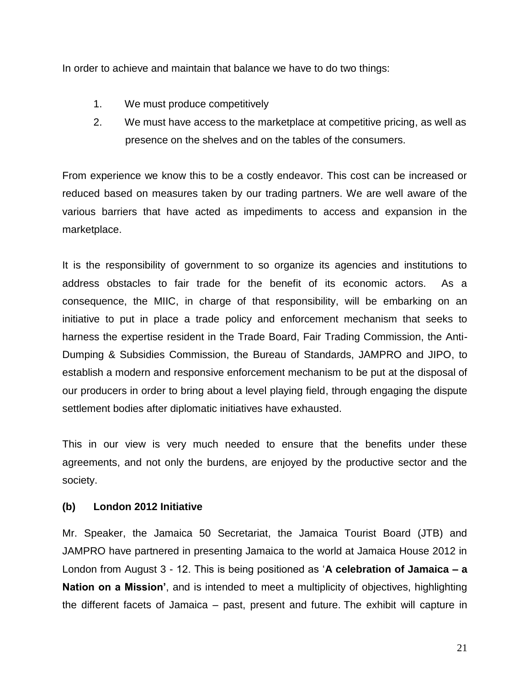In order to achieve and maintain that balance we have to do two things:

- 1. We must produce competitively
- 2. We must have access to the marketplace at competitive pricing, as well as presence on the shelves and on the tables of the consumers.

From experience we know this to be a costly endeavor. This cost can be increased or reduced based on measures taken by our trading partners. We are well aware of the various barriers that have acted as impediments to access and expansion in the marketplace.

It is the responsibility of government to so organize its agencies and institutions to address obstacles to fair trade for the benefit of its economic actors. As a consequence, the MIIC, in charge of that responsibility, will be embarking on an initiative to put in place a trade policy and enforcement mechanism that seeks to harness the expertise resident in the Trade Board, Fair Trading Commission, the Anti-Dumping & Subsidies Commission, the Bureau of Standards, JAMPRO and JIPO, to establish a modern and responsive enforcement mechanism to be put at the disposal of our producers in order to bring about a level playing field, through engaging the dispute settlement bodies after diplomatic initiatives have exhausted.

This in our view is very much needed to ensure that the benefits under these agreements, and not only the burdens, are enjoyed by the productive sector and the society.

#### **(b) London 2012 Initiative**

Mr. Speaker, the Jamaica 50 Secretariat, the Jamaica Tourist Board (JTB) and JAMPRO have partnered in presenting Jamaica to the world at Jamaica House 2012 in London from August 3 - 12. This is being positioned as '**A celebration of Jamaica – a Nation on a Mission'**, and is intended to meet a multiplicity of objectives, highlighting the different facets of Jamaica – past, present and future. The exhibit will capture in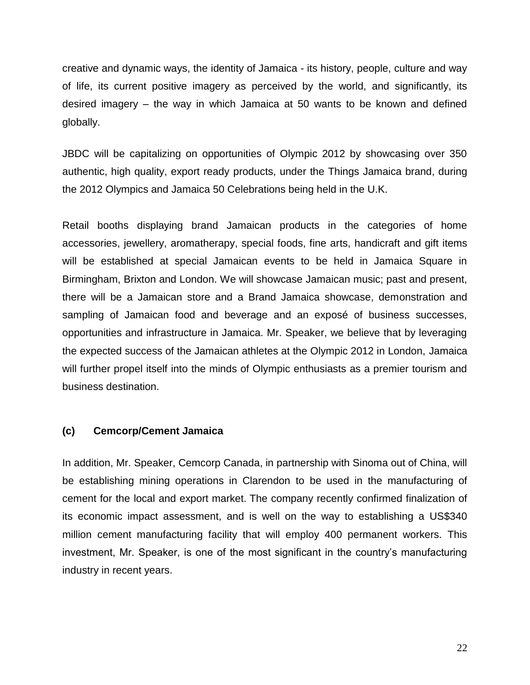creative and dynamic ways, the identity of Jamaica - its history, people, culture and way of life, its current positive imagery as perceived by the world, and significantly, its desired imagery – the way in which Jamaica at 50 wants to be known and defined globally.

JBDC will be capitalizing on opportunities of Olympic 2012 by showcasing over 350 authentic, high quality, export ready products, under the Things Jamaica brand, during the 2012 Olympics and Jamaica 50 Celebrations being held in the U.K.

Retail booths displaying brand Jamaican products in the categories of home accessories, jewellery, aromatherapy, special foods, fine arts, handicraft and gift items will be established at special Jamaican events to be held in Jamaica Square in Birmingham, Brixton and London. We will showcase Jamaican music; past and present, there will be a Jamaican store and a Brand Jamaica showcase, demonstration and sampling of Jamaican food and beverage and an exposé of business successes, opportunities and infrastructure in Jamaica. Mr. Speaker, we believe that by leveraging the expected success of the Jamaican athletes at the Olympic 2012 in London, Jamaica will further propel itself into the minds of Olympic enthusiasts as a premier tourism and business destination.

#### **(c) Cemcorp/Cement Jamaica**

In addition, Mr. Speaker, Cemcorp Canada, in partnership with Sinoma out of China, will be establishing mining operations in Clarendon to be used in the manufacturing of cement for the local and export market. The company recently confirmed finalization of its economic impact assessment, and is well on the way to establishing a US\$340 million cement manufacturing facility that will employ 400 permanent workers. This investment, Mr. Speaker, is one of the most significant in the country's manufacturing industry in recent years.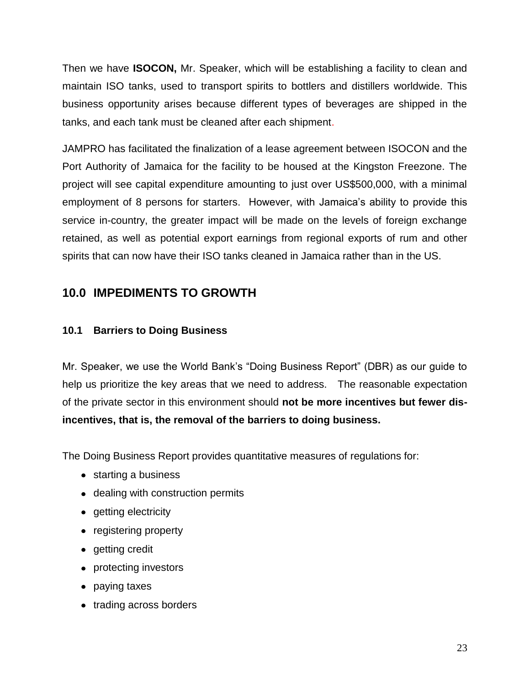Then we have **ISOCON,** Mr. Speaker, which will be establishing a facility to clean and maintain ISO tanks, used to transport spirits to bottlers and distillers worldwide. This business opportunity arises because different types of beverages are shipped in the tanks, and each tank must be cleaned after each shipment.

JAMPRO has facilitated the finalization of a lease agreement between ISOCON and the Port Authority of Jamaica for the facility to be housed at the Kingston Freezone. The project will see capital expenditure amounting to just over US\$500,000, with a minimal employment of 8 persons for starters. However, with Jamaica's ability to provide this service in-country, the greater impact will be made on the levels of foreign exchange retained, as well as potential export earnings from regional exports of rum and other spirits that can now have their ISO tanks cleaned in Jamaica rather than in the US.

## <span id="page-22-0"></span>**10.0 IMPEDIMENTS TO GROWTH**

## **10.1 Barriers to Doing Business**

Mr. Speaker, we use the World Bank's "Doing Business Report" (DBR) as our guide to help us prioritize the key areas that we need to address. The reasonable expectation of the private sector in this environment should **not be more incentives but fewer disincentives, that is, the removal of the barriers to doing business.** 

The Doing Business Report provides quantitative measures of regulations for:

- starting a business
- dealing with construction permits
- getting electricity
- registering property
- getting credit
- protecting investors
- paying taxes
- trading across borders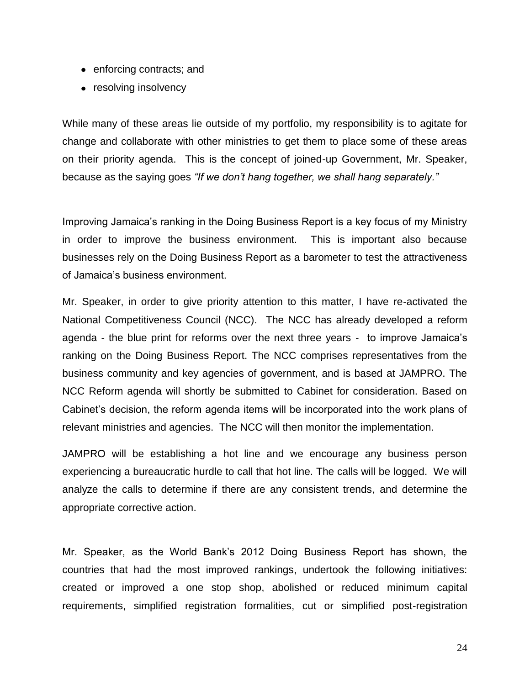- enforcing contracts; and
- resolving insolvency

While many of these areas lie outside of my portfolio, my responsibility is to agitate for change and collaborate with other ministries to get them to place some of these areas on their priority agenda. This is the concept of joined-up Government, Mr. Speaker, because as the saying goes *"If we don't hang together, we shall hang separately."*

Improving Jamaica's ranking in the Doing Business Report is a key focus of my Ministry in order to improve the business environment. This is important also because businesses rely on the Doing Business Report as a barometer to test the attractiveness of Jamaica's business environment.

Mr. Speaker, in order to give priority attention to this matter, I have re-activated the National Competitiveness Council (NCC). The NCC has already developed a reform agenda - the blue print for reforms over the next three years - to improve Jamaica's ranking on the Doing Business Report. The NCC comprises representatives from the business community and key agencies of government, and is based at JAMPRO. The NCC Reform agenda will shortly be submitted to Cabinet for consideration. Based on Cabinet's decision, the reform agenda items will be incorporated into the work plans of relevant ministries and agencies. The NCC will then monitor the implementation.

JAMPRO will be establishing a hot line and we encourage any business person experiencing a bureaucratic hurdle to call that hot line. The calls will be logged. We will analyze the calls to determine if there are any consistent trends, and determine the appropriate corrective action.

Mr. Speaker, as the World Bank's 2012 Doing Business Report has shown, the countries that had the most improved rankings, undertook the following initiatives: created or improved a one stop shop, abolished or reduced minimum capital requirements, simplified registration formalities, cut or simplified post-registration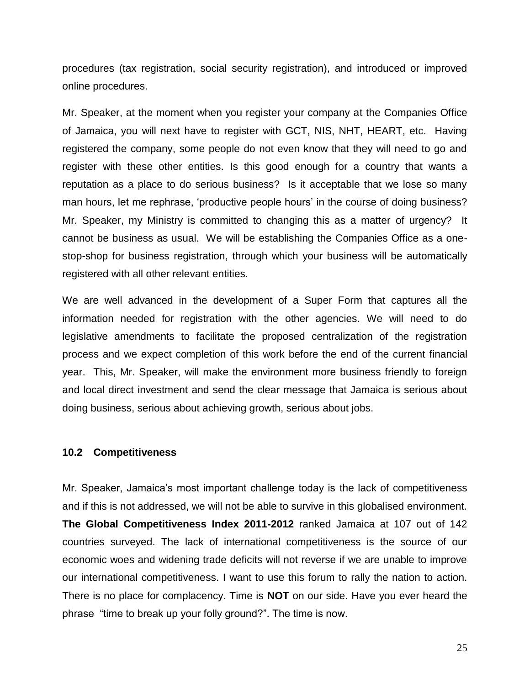procedures (tax registration, social security registration), and introduced or improved online procedures.

Mr. Speaker, at the moment when you register your company at the Companies Office of Jamaica, you will next have to register with GCT, NIS, NHT, HEART, etc. Having registered the company, some people do not even know that they will need to go and register with these other entities. Is this good enough for a country that wants a reputation as a place to do serious business? Is it acceptable that we lose so many man hours, let me rephrase, 'productive people hours' in the course of doing business? Mr. Speaker, my Ministry is committed to changing this as a matter of urgency? It cannot be business as usual. We will be establishing the Companies Office as a onestop-shop for business registration, through which your business will be automatically registered with all other relevant entities.

We are well advanced in the development of a Super Form that captures all the information needed for registration with the other agencies. We will need to do legislative amendments to facilitate the proposed centralization of the registration process and we expect completion of this work before the end of the current financial year. This, Mr. Speaker, will make the environment more business friendly to foreign and local direct investment and send the clear message that Jamaica is serious about doing business, serious about achieving growth, serious about jobs.

#### **10.2 Competitiveness**

Mr. Speaker, Jamaica's most important challenge today is the lack of competitiveness and if this is not addressed, we will not be able to survive in this globalised environment. **The Global Competitiveness Index 2011-2012** ranked Jamaica at 107 out of 142 countries surveyed. The lack of international competitiveness is the source of our economic woes and widening trade deficits will not reverse if we are unable to improve our international competitiveness. I want to use this forum to rally the nation to action. There is no place for complacency. Time is **NOT** on our side. Have you ever heard the phrase "time to break up your folly ground?". The time is now.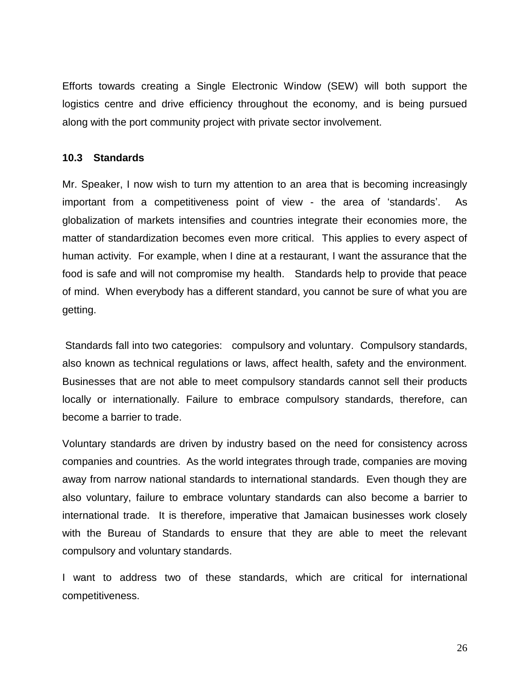Efforts towards creating a Single Electronic Window (SEW) will both support the logistics centre and drive efficiency throughout the economy, and is being pursued along with the port community project with private sector involvement.

#### **10.3 Standards**

Mr. Speaker, I now wish to turn my attention to an area that is becoming increasingly important from a competitiveness point of view - the area of 'standards'. As globalization of markets intensifies and countries integrate their economies more, the matter of standardization becomes even more critical. This applies to every aspect of human activity. For example, when I dine at a restaurant, I want the assurance that the food is safe and will not compromise my health. Standards help to provide that peace of mind. When everybody has a different standard, you cannot be sure of what you are getting.

Standards fall into two categories: compulsory and voluntary. Compulsory standards, also known as technical regulations or laws, affect health, safety and the environment. Businesses that are not able to meet compulsory standards cannot sell their products locally or internationally. Failure to embrace compulsory standards, therefore, can become a barrier to trade.

Voluntary standards are driven by industry based on the need for consistency across companies and countries. As the world integrates through trade, companies are moving away from narrow national standards to international standards. Even though they are also voluntary, failure to embrace voluntary standards can also become a barrier to international trade. It is therefore, imperative that Jamaican businesses work closely with the Bureau of Standards to ensure that they are able to meet the relevant compulsory and voluntary standards.

I want to address two of these standards, which are critical for international competitiveness.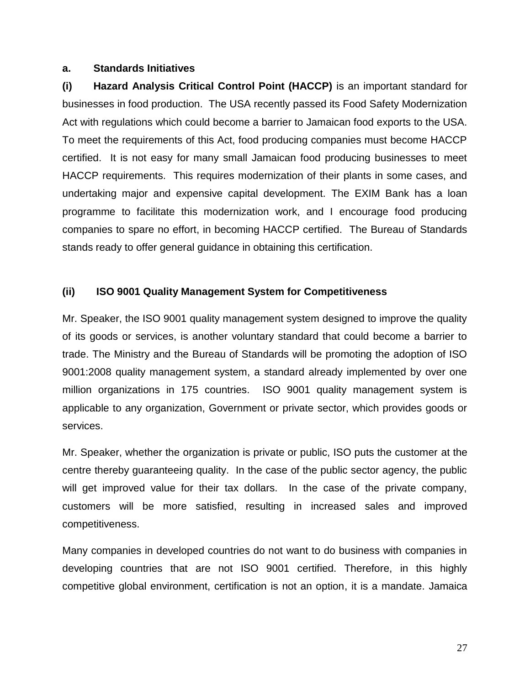#### **a. Standards Initiatives**

**(i) Hazard Analysis Critical Control Point (HACCP)** is an important standard for businesses in food production. The USA recently passed its Food Safety Modernization Act with regulations which could become a barrier to Jamaican food exports to the USA. To meet the requirements of this Act, food producing companies must become HACCP certified. It is not easy for many small Jamaican food producing businesses to meet HACCP requirements. This requires modernization of their plants in some cases, and undertaking major and expensive capital development. The EXIM Bank has a loan programme to facilitate this modernization work, and I encourage food producing companies to spare no effort, in becoming HACCP certified. The Bureau of Standards stands ready to offer general guidance in obtaining this certification.

#### **(ii) ISO 9001 Quality Management System for Competitiveness**

Mr. Speaker, the ISO 9001 quality management system designed to improve the quality of its goods or services, is another voluntary standard that could become a barrier to trade. The Ministry and the Bureau of Standards will be promoting the adoption of ISO 9001:2008 quality management system, a standard already implemented by over one million organizations in 175 countries. ISO 9001 quality management system is applicable to any organization, Government or private sector, which provides goods or services.

Mr. Speaker, whether the organization is private or public, ISO puts the customer at the centre thereby guaranteeing quality. In the case of the public sector agency, the public will get improved value for their tax dollars. In the case of the private company, customers will be more satisfied, resulting in increased sales and improved competitiveness.

Many companies in developed countries do not want to do business with companies in developing countries that are not ISO 9001 certified. Therefore, in this highly competitive global environment, certification is not an option, it is a mandate. Jamaica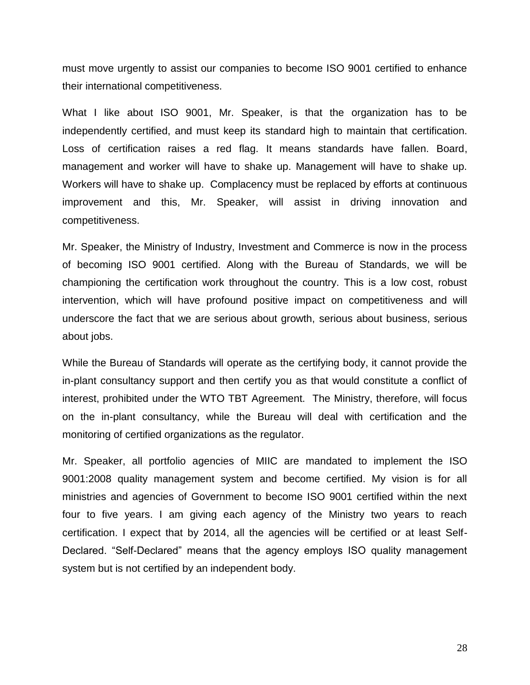must move urgently to assist our companies to become ISO 9001 certified to enhance their international competitiveness.

What I like about ISO 9001, Mr. Speaker, is that the organization has to be independently certified, and must keep its standard high to maintain that certification. Loss of certification raises a red flag. It means standards have fallen. Board, management and worker will have to shake up. Management will have to shake up. Workers will have to shake up. Complacency must be replaced by efforts at continuous improvement and this, Mr. Speaker, will assist in driving innovation and competitiveness.

Mr. Speaker, the Ministry of Industry, Investment and Commerce is now in the process of becoming ISO 9001 certified. Along with the Bureau of Standards, we will be championing the certification work throughout the country. This is a low cost, robust intervention, which will have profound positive impact on competitiveness and will underscore the fact that we are serious about growth, serious about business, serious about jobs.

While the Bureau of Standards will operate as the certifying body, it cannot provide the in-plant consultancy support and then certify you as that would constitute a conflict of interest, prohibited under the WTO TBT Agreement. The Ministry, therefore, will focus on the in-plant consultancy, while the Bureau will deal with certification and the monitoring of certified organizations as the regulator.

Mr. Speaker, all portfolio agencies of MIIC are mandated to implement the ISO 9001:2008 quality management system and become certified. My vision is for all ministries and agencies of Government to become ISO 9001 certified within the next four to five years. I am giving each agency of the Ministry two years to reach certification. I expect that by 2014, all the agencies will be certified or at least Self-Declared. "Self-Declared" means that the agency employs ISO quality management system but is not certified by an independent body.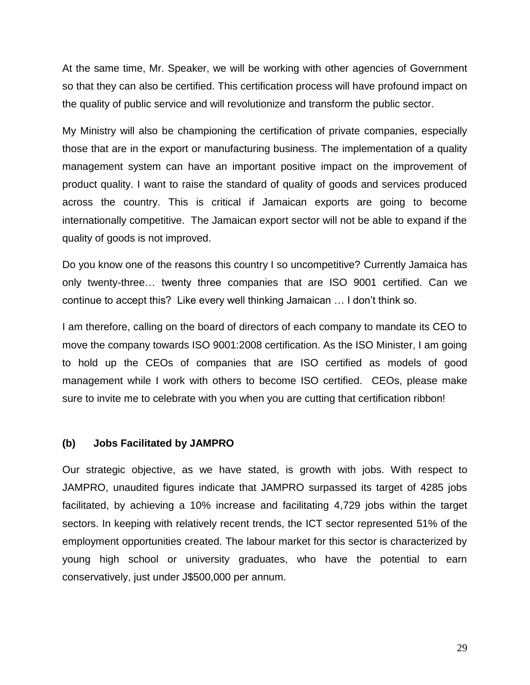At the same time, Mr. Speaker, we will be working with other agencies of Government so that they can also be certified. This certification process will have profound impact on the quality of public service and will revolutionize and transform the public sector.

My Ministry will also be championing the certification of private companies, especially those that are in the export or manufacturing business. The implementation of a quality management system can have an important positive impact on the improvement of product quality. I want to raise the standard of quality of goods and services produced across the country. This is critical if Jamaican exports are going to become internationally competitive. The Jamaican export sector will not be able to expand if the quality of goods is not improved.

Do you know one of the reasons this country I so uncompetitive? Currently Jamaica has only twenty-three… twenty three companies that are ISO 9001 certified. Can we continue to accept this? Like every well thinking Jamaican … I don't think so.

I am therefore, calling on the board of directors of each company to mandate its CEO to move the company towards ISO 9001:2008 certification. As the ISO Minister, I am going to hold up the CEOs of companies that are ISO certified as models of good management while I work with others to become ISO certified. CEOs, please make sure to invite me to celebrate with you when you are cutting that certification ribbon!

#### **(b) Jobs Facilitated by JAMPRO**

Our strategic objective, as we have stated, is growth with jobs. With respect to JAMPRO, unaudited figures indicate that JAMPRO surpassed its target of 4285 jobs facilitated, by achieving a 10% increase and facilitating 4,729 jobs within the target sectors. In keeping with relatively recent trends, the ICT sector represented 51% of the employment opportunities created. The labour market for this sector is characterized by young high school or university graduates, who have the potential to earn conservatively, just under J\$500,000 per annum.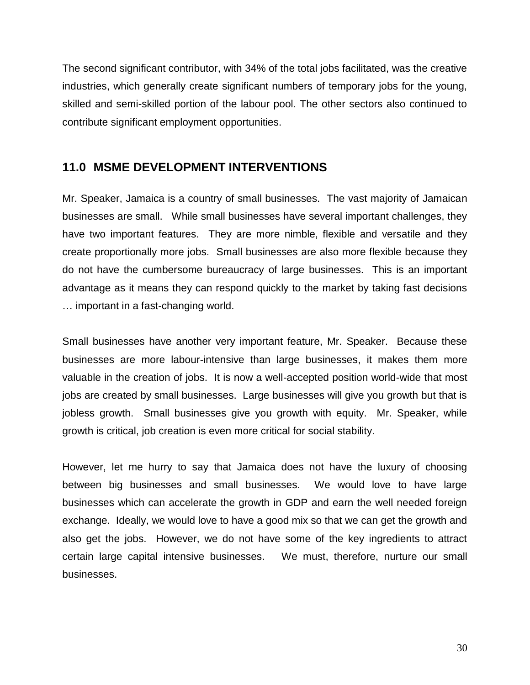The second significant contributor, with 34% of the total jobs facilitated, was the creative industries, which generally create significant numbers of temporary jobs for the young, skilled and semi-skilled portion of the labour pool. The other sectors also continued to contribute significant employment opportunities.

## <span id="page-29-0"></span>**11.0 MSME DEVELOPMENT INTERVENTIONS**

Mr. Speaker, Jamaica is a country of small businesses. The vast majority of Jamaican businesses are small. While small businesses have several important challenges, they have two important features. They are more nimble, flexible and versatile and they create proportionally more jobs. Small businesses are also more flexible because they do not have the cumbersome bureaucracy of large businesses. This is an important advantage as it means they can respond quickly to the market by taking fast decisions … important in a fast-changing world.

Small businesses have another very important feature, Mr. Speaker. Because these businesses are more labour-intensive than large businesses, it makes them more valuable in the creation of jobs. It is now a well-accepted position world-wide that most jobs are created by small businesses. Large businesses will give you growth but that is jobless growth. Small businesses give you growth with equity. Mr. Speaker, while growth is critical, job creation is even more critical for social stability.

However, let me hurry to say that Jamaica does not have the luxury of choosing between big businesses and small businesses. We would love to have large businesses which can accelerate the growth in GDP and earn the well needed foreign exchange. Ideally, we would love to have a good mix so that we can get the growth and also get the jobs. However, we do not have some of the key ingredients to attract certain large capital intensive businesses. We must, therefore, nurture our small businesses.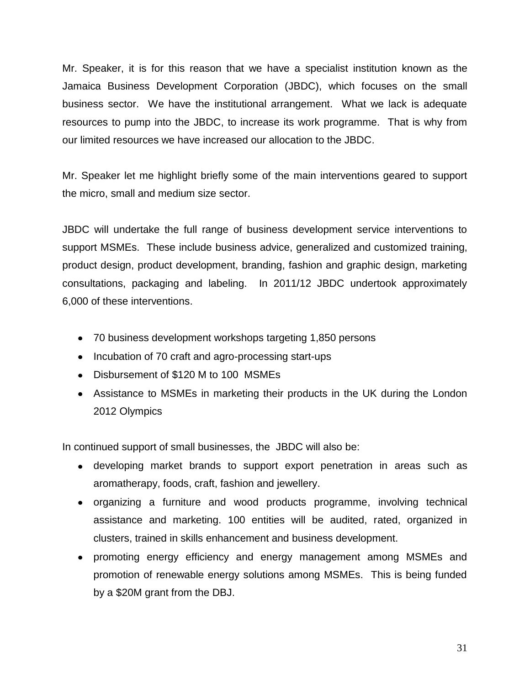Mr. Speaker, it is for this reason that we have a specialist institution known as the Jamaica Business Development Corporation (JBDC), which focuses on the small business sector. We have the institutional arrangement. What we lack is adequate resources to pump into the JBDC, to increase its work programme. That is why from our limited resources we have increased our allocation to the JBDC.

Mr. Speaker let me highlight briefly some of the main interventions geared to support the micro, small and medium size sector.

JBDC will undertake the full range of business development service interventions to support MSMEs. These include business advice, generalized and customized training, product design, product development, branding, fashion and graphic design, marketing consultations, packaging and labeling. In 2011/12 JBDC undertook approximately 6,000 of these interventions.

- 70 business development workshops targeting 1,850 persons
- Incubation of 70 craft and agro-processing start-ups
- Disbursement of \$120 M to 100 MSMEs
- Assistance to MSMEs in marketing their products in the UK during the London 2012 Olympics

In continued support of small businesses, the JBDC will also be:

- developing market brands to support export penetration in areas such as aromatherapy, foods, craft, fashion and jewellery.
- organizing a furniture and wood products programme, involving technical assistance and marketing. 100 entities will be audited, rated, organized in clusters, trained in skills enhancement and business development.
- promoting energy efficiency and energy management among MSMEs and promotion of renewable energy solutions among MSMEs. This is being funded by a \$20M grant from the DBJ.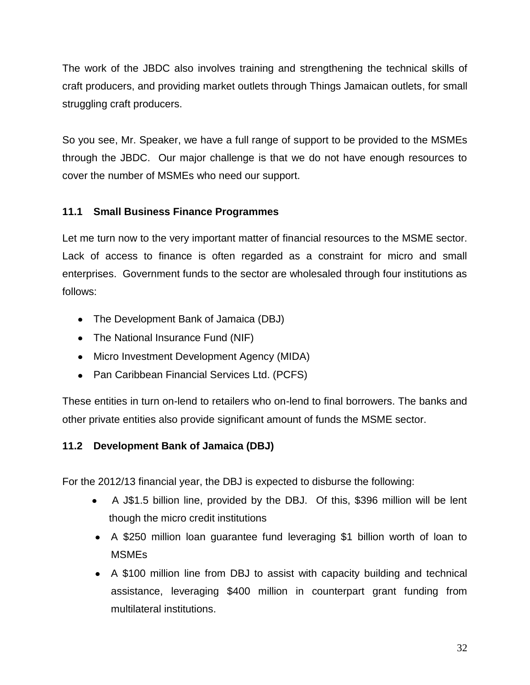The work of the JBDC also involves training and strengthening the technical skills of craft producers, and providing market outlets through Things Jamaican outlets, for small struggling craft producers.

So you see, Mr. Speaker, we have a full range of support to be provided to the MSMEs through the JBDC. Our major challenge is that we do not have enough resources to cover the number of MSMEs who need our support.

## **11.1 Small Business Finance Programmes**

Let me turn now to the very important matter of financial resources to the MSME sector. Lack of access to finance is often regarded as a constraint for micro and small enterprises. Government funds to the sector are wholesaled through four institutions as follows:

- The Development Bank of Jamaica (DBJ)
- The National Insurance Fund (NIF)
- Micro Investment Development Agency (MIDA)
- Pan Caribbean Financial Services Ltd. (PCFS)

These entities in turn on-lend to retailers who on-lend to final borrowers. The banks and other private entities also provide significant amount of funds the MSME sector.

## **11.2 Development Bank of Jamaica (DBJ)**

For the 2012/13 financial year, the DBJ is expected to disburse the following:

- A J\$1.5 billion line, provided by the DBJ. Of this, \$396 million will be lent though the micro credit institutions
- A \$250 million loan guarantee fund leveraging \$1 billion worth of loan to MSMEs
- A \$100 million line from DBJ to assist with capacity building and technical assistance, leveraging \$400 million in counterpart grant funding from multilateral institutions.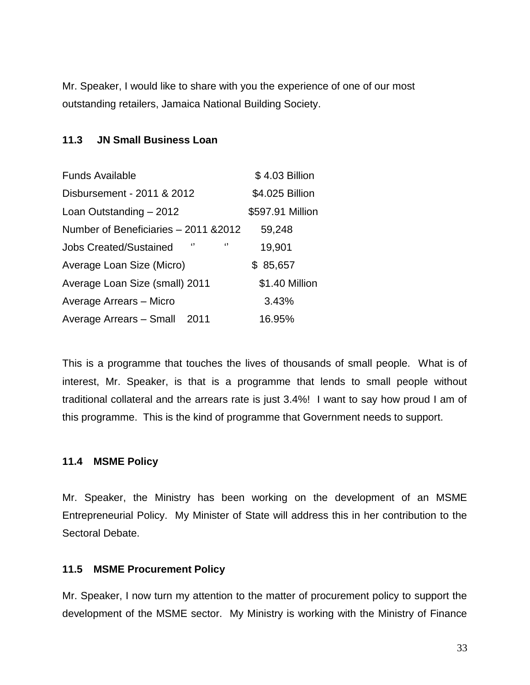Mr. Speaker, I would like to share with you the experience of one of our most outstanding retailers, Jamaica National Building Society.

#### **11.3 JN Small Business Loan**

| <b>Funds Available</b>                   | \$4.03 Billion   |
|------------------------------------------|------------------|
| Disbursement - 2011 & 2012               | \$4.025 Billion  |
| Loan Outstanding - 2012                  | \$597.91 Million |
| Number of Beneficiaries - 2011 & 2012    | 59,248           |
| "<br>69<br><b>Jobs Created/Sustained</b> | 19,901           |
| Average Loan Size (Micro)                | \$85,657         |
| Average Loan Size (small) 2011           | \$1.40 Million   |
| Average Arrears - Micro                  | 3.43%            |
| Average Arrears - Small 2011             | 16.95%           |

This is a programme that touches the lives of thousands of small people. What is of interest, Mr. Speaker, is that is a programme that lends to small people without traditional collateral and the arrears rate is just 3.4%! I want to say how proud I am of this programme. This is the kind of programme that Government needs to support.

#### **11.4 MSME Policy**

Mr. Speaker, the Ministry has been working on the development of an MSME Entrepreneurial Policy. My Minister of State will address this in her contribution to the Sectoral Debate.

#### **11.5 MSME Procurement Policy**

Mr. Speaker, I now turn my attention to the matter of procurement policy to support the development of the MSME sector. My Ministry is working with the Ministry of Finance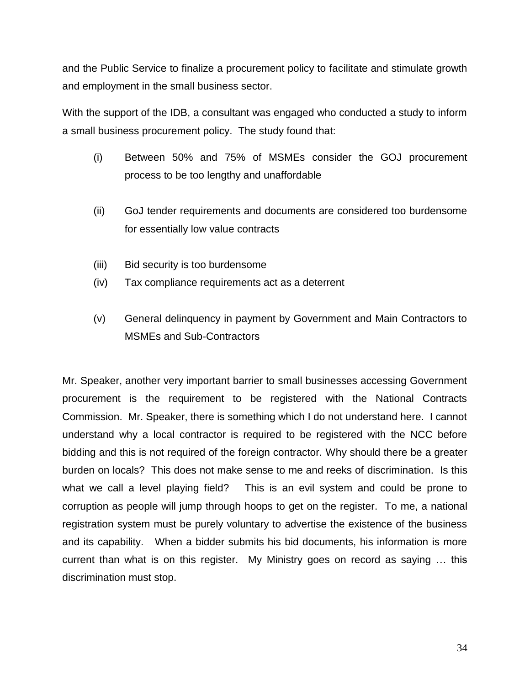and the Public Service to finalize a procurement policy to facilitate and stimulate growth and employment in the small business sector.

With the support of the IDB, a consultant was engaged who conducted a study to inform a small business procurement policy. The study found that:

- (i) Between 50% and 75% of MSMEs consider the GOJ procurement process to be too lengthy and unaffordable
- (ii) GoJ tender requirements and documents are considered too burdensome for essentially low value contracts
- (iii) Bid security is too burdensome
- (iv) Tax compliance requirements act as a deterrent
- (v) General delinquency in payment by Government and Main Contractors to MSMEs and Sub-Contractors

Mr. Speaker, another very important barrier to small businesses accessing Government procurement is the requirement to be registered with the National Contracts Commission. Mr. Speaker, there is something which I do not understand here. I cannot understand why a local contractor is required to be registered with the NCC before bidding and this is not required of the foreign contractor. Why should there be a greater burden on locals? This does not make sense to me and reeks of discrimination. Is this what we call a level playing field? This is an evil system and could be prone to corruption as people will jump through hoops to get on the register. To me, a national registration system must be purely voluntary to advertise the existence of the business and its capability. When a bidder submits his bid documents, his information is more current than what is on this register. My Ministry goes on record as saying … this discrimination must stop.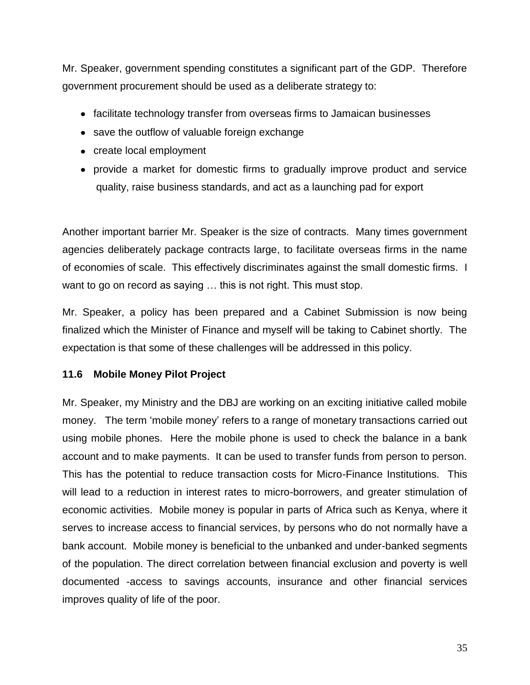Mr. Speaker, government spending constitutes a significant part of the GDP. Therefore government procurement should be used as a deliberate strategy to:

- facilitate technology transfer from overseas firms to Jamaican businesses
- save the outflow of valuable foreign exchange
- create local employment
- provide a market for domestic firms to gradually improve product and service quality, raise business standards, and act as a launching pad for export

Another important barrier Mr. Speaker is the size of contracts. Many times government agencies deliberately package contracts large, to facilitate overseas firms in the name of economies of scale. This effectively discriminates against the small domestic firms. I want to go on record as saying … this is not right. This must stop.

Mr. Speaker, a policy has been prepared and a Cabinet Submission is now being finalized which the Minister of Finance and myself will be taking to Cabinet shortly. The expectation is that some of these challenges will be addressed in this policy.

#### **11.6 Mobile Money Pilot Project**

Mr. Speaker, my Ministry and the DBJ are working on an exciting initiative called mobile money. The term 'mobile money' refers to a range of monetary transactions carried out using mobile phones. Here the mobile phone is used to check the balance in a bank account and to make payments. It can be used to transfer funds from person to person. This has the potential to reduce transaction costs for Micro-Finance Institutions. This will lead to a reduction in interest rates to micro-borrowers, and greater stimulation of economic activities. Mobile money is popular in parts of Africa such as Kenya, where it serves to increase access to financial services, by persons who do not normally have a bank account. Mobile money is beneficial to the unbanked and under-banked segments of the population. The direct correlation between financial exclusion and poverty is well documented -access to savings accounts, insurance and other financial services improves quality of life of the poor.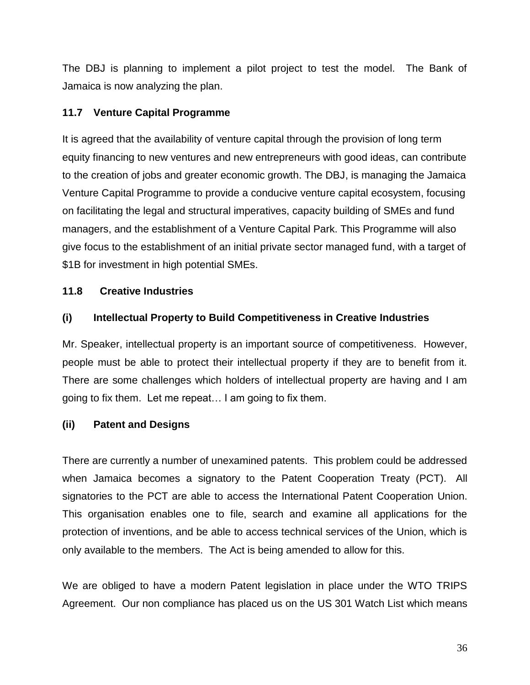The DBJ is planning to implement a pilot project to test the model. The Bank of Jamaica is now analyzing the plan.

### **11.7 Venture Capital Programme**

It is agreed that the availability of venture capital through the provision of long term equity financing to new ventures and new entrepreneurs with good ideas, can contribute to the creation of jobs and greater economic growth. The DBJ, is managing the Jamaica Venture Capital Programme to provide a conducive venture capital ecosystem, focusing on facilitating the legal and structural imperatives, capacity building of SMEs and fund managers, and the establishment of a Venture Capital Park. This Programme will also give focus to the establishment of an initial private sector managed fund, with a target of \$1B for investment in high potential SMEs.

## **11.8 Creative Industries**

## **(i) Intellectual Property to Build Competitiveness in Creative Industries**

Mr. Speaker, intellectual property is an important source of competitiveness. However, people must be able to protect their intellectual property if they are to benefit from it. There are some challenges which holders of intellectual property are having and I am going to fix them. Let me repeat… I am going to fix them.

## **(ii) Patent and Designs**

There are currently a number of unexamined patents. This problem could be addressed when Jamaica becomes a signatory to the Patent Cooperation Treaty (PCT). All signatories to the PCT are able to access the International Patent Cooperation Union. This organisation enables one to file, search and examine all applications for the protection of inventions, and be able to access technical services of the Union, which is only available to the members. The Act is being amended to allow for this.

We are obliged to have a modern Patent legislation in place under the WTO TRIPS Agreement. Our non compliance has placed us on the US 301 Watch List which means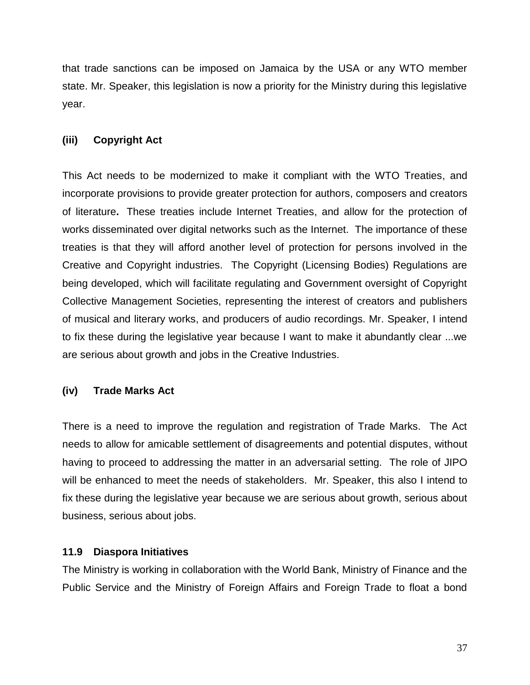that trade sanctions can be imposed on Jamaica by the USA or any WTO member state. Mr. Speaker, this legislation is now a priority for the Ministry during this legislative year.

#### **(iii) Copyright Act**

This Act needs to be modernized to make it compliant with the WTO Treaties, and incorporate provisions to provide greater protection for authors, composers and creators of literature**.** These treaties include Internet Treaties, and allow for the protection of works disseminated over digital networks such as the Internet. The importance of these treaties is that they will afford another level of protection for persons involved in the Creative and Copyright industries. The Copyright (Licensing Bodies) Regulations are being developed, which will facilitate regulating and Government oversight of Copyright Collective Management Societies, representing the interest of creators and publishers of musical and literary works, and producers of audio recordings. Mr. Speaker, I intend to fix these during the legislative year because I want to make it abundantly clear ...we are serious about growth and jobs in the Creative Industries.

#### **(iv) Trade Marks Act**

There is a need to improve the regulation and registration of Trade Marks. The Act needs to allow for amicable settlement of disagreements and potential disputes, without having to proceed to addressing the matter in an adversarial setting. The role of JIPO will be enhanced to meet the needs of stakeholders. Mr. Speaker, this also I intend to fix these during the legislative year because we are serious about growth, serious about business, serious about jobs.

#### **11.9 Diaspora Initiatives**

The Ministry is working in collaboration with the World Bank, Ministry of Finance and the Public Service and the Ministry of Foreign Affairs and Foreign Trade to float a bond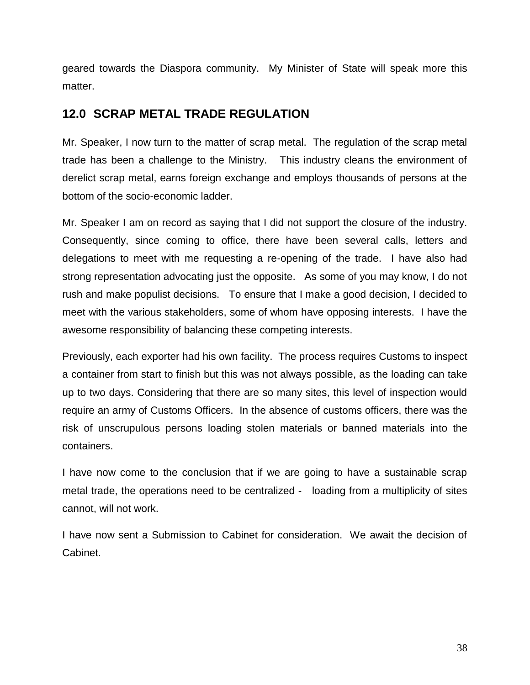geared towards the Diaspora community. My Minister of State will speak more this matter.

## <span id="page-37-0"></span>**12.0 SCRAP METAL TRADE REGULATION**

Mr. Speaker, I now turn to the matter of scrap metal. The regulation of the scrap metal trade has been a challenge to the Ministry. This industry cleans the environment of derelict scrap metal, earns foreign exchange and employs thousands of persons at the bottom of the socio-economic ladder.

Mr. Speaker I am on record as saying that I did not support the closure of the industry. Consequently, since coming to office, there have been several calls, letters and delegations to meet with me requesting a re-opening of the trade. I have also had strong representation advocating just the opposite. As some of you may know, I do not rush and make populist decisions. To ensure that I make a good decision, I decided to meet with the various stakeholders, some of whom have opposing interests. I have the awesome responsibility of balancing these competing interests.

Previously, each exporter had his own facility. The process requires Customs to inspect a container from start to finish but this was not always possible, as the loading can take up to two days. Considering that there are so many sites, this level of inspection would require an army of Customs Officers. In the absence of customs officers, there was the risk of unscrupulous persons loading stolen materials or banned materials into the containers.

I have now come to the conclusion that if we are going to have a sustainable scrap metal trade, the operations need to be centralized - loading from a multiplicity of sites cannot, will not work.

I have now sent a Submission to Cabinet for consideration. We await the decision of Cabinet.